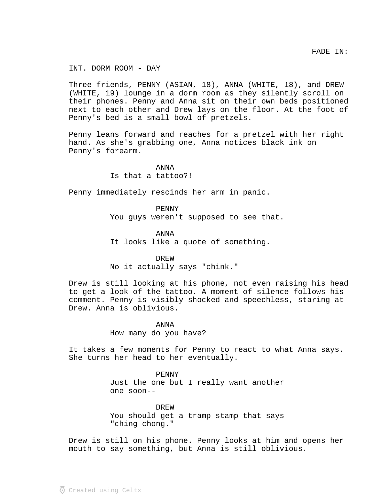INT. DORM ROOM - DAY

Three friends, PENNY (ASIAN, 18), ANNA (WHITE, 18), and DREW (WHITE, 19) lounge in a dorm room as they silently scroll on their phones. Penny and Anna sit on their own beds positioned next to each other and Drew lays on the floor. At the foot of Penny's bed is a small bowl of pretzels.

Penny leans forward and reaches for a pretzel with her right hand. As she's grabbing one, Anna notices black ink on Penny's forearm.

> ANNA Is that a tattoo?!

Penny immediately rescinds her arm in panic.

PENNY You guys weren't supposed to see that.

ANNA

It looks like a quote of something.

DREW

No it actually says "chink."

Drew is still looking at his phone, not even raising his head to get a look of the tattoo. A moment of silence follows his comment. Penny is visibly shocked and speechless, staring at Drew. Anna is oblivious.

ANNA

How many do you have?

It takes a few moments for Penny to react to what Anna says. She turns her head to her eventually.

PENNY

Just the one but I really want another one soon--

DREW You should get a tramp stamp that says "ching chong."

Drew is still on his phone. Penny looks at him and opens her mouth to say something, but Anna is still oblivious.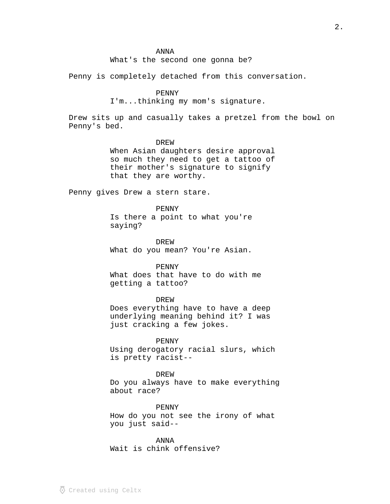## ANNA

What's the second one gonna be?

Penny is completely detached from this conversation.

# PENNY

I'm...thinking my mom's signature.

Drew sits up and casually takes a pretzel from the bowl on Penny's bed.

#### DREW

When Asian daughters desire approval so much they need to get a tattoo of their mother's signature to signify that they are worthy.

Penny gives Drew a stern stare.

### PENNY

Is there a point to what you're saying?

DREW What do you mean? You're Asian.

PENNY What does that have to do with me getting a tattoo?

### DREW

Does everything have to have a deep underlying meaning behind it? I was just cracking a few jokes.

## PENNY

Using derogatory racial slurs, which is pretty racist--

#### DREW

Do you always have to make everything about race?

PENNY How do you not see the irony of what you just said--

ANNA Wait is chink offensive?